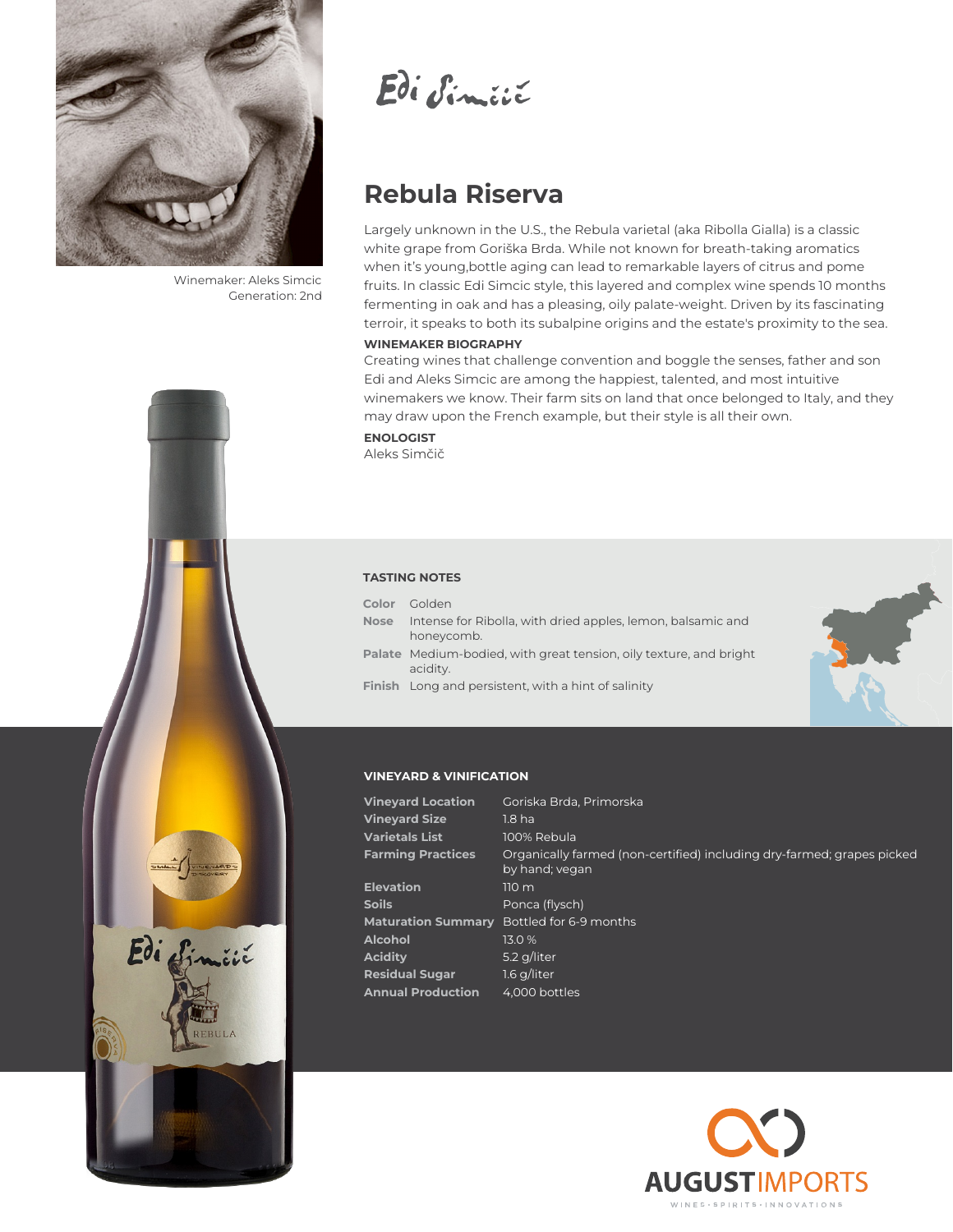

Winemaker: Aleks Simcic Generation: 2nd

Edi Similie

# **Rebula Riserva**

Largely unknown in the U.S., the Rebula varietal (aka Ribolla Gialla) is a classic white grape from Goriška Brda. While not known for breath-taking aromatics when it's young,bottle aging can lead to remarkable layers of citrus and pome fruits. In classic Edi Simcic style, this layered and complex wine spends 10 months fermenting in oak and has a pleasing, oily palate-weight. Driven by its fascinating terroir, it speaks to both its subalpine origins and the estate's proximity to the sea.

#### **WINEMAKER BIOGRAPHY**

Creating wines that challenge convention and boggle the senses, father and son Edi and Aleks Simcic are among the happiest, talented, and most intuitive winemakers we know. Their farm sits on land that once belonged to Italy, and they may draw upon the French example, but their style is all their own.

**ENOLOGIST** Aleks Simčič

### **TASTING NOTES Color** Golden

| Nose | Intense for Ribolla, with dried apples, lemon, balsamic and |
|------|-------------------------------------------------------------|
|      | honeycomb.                                                  |

- **Palate** Medium-bodied, with great tension, oily texture, and bright acidity.
- **Finish** Long and persistent, with a hint of salinity



### **VINEYARD & VINIFICATION**

| Goriska Brda, Primorska                                                                  |
|------------------------------------------------------------------------------------------|
| 1.8 <sub>ha</sub>                                                                        |
| 100% Rebula                                                                              |
| Organically farmed (non-certified) including dry-farmed; grapes picked<br>by hand; yegan |
| 110 m                                                                                    |
| Ponca (flysch)                                                                           |
| Bottled for 6-9 months                                                                   |
| 13.0%                                                                                    |
| 5.2 g/liter                                                                              |
| $1.6$ g/liter                                                                            |
| 4,000 bottles                                                                            |
|                                                                                          |